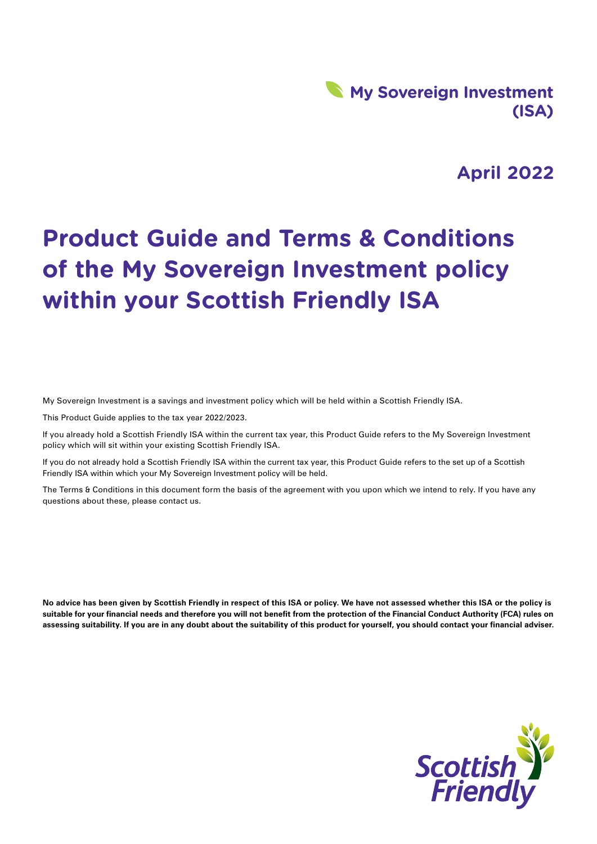## **My Sovereign Investment (ISA)**

## **April 2022**

# **Product Guide and Terms & Conditions of the My Sovereign Investment policy within your Scottish Friendly ISA**

My Sovereign Investment is a savings and investment policy which will be held within a Scottish Friendly ISA.

This Product Guide applies to the tax year 2022/2023.

If you already hold a Scottish Friendly ISA within the current tax year, this Product Guide refers to the My Sovereign Investment policy which will sit within your existing Scottish Friendly ISA.

If you do not already hold a Scottish Friendly ISA within the current tax year, this Product Guide refers to the set up of a Scottish Friendly ISA within which your My Sovereign Investment policy will be held.

The Terms & Conditions in this document form the basis of the agreement with you upon which we intend to rely. If you have any questions about these, please contact us.

**No advice has been given by Scottish Friendly in respect of this ISA or policy. We have not assessed whether this ISA or the policy is suitable for your financial needs and therefore you will not benefit from the protection of the Financial Conduct Authority (FCA) rules on assessing suitability. If you are in any doubt about the suitability of this product for yourself, you should contact your financial adviser.**

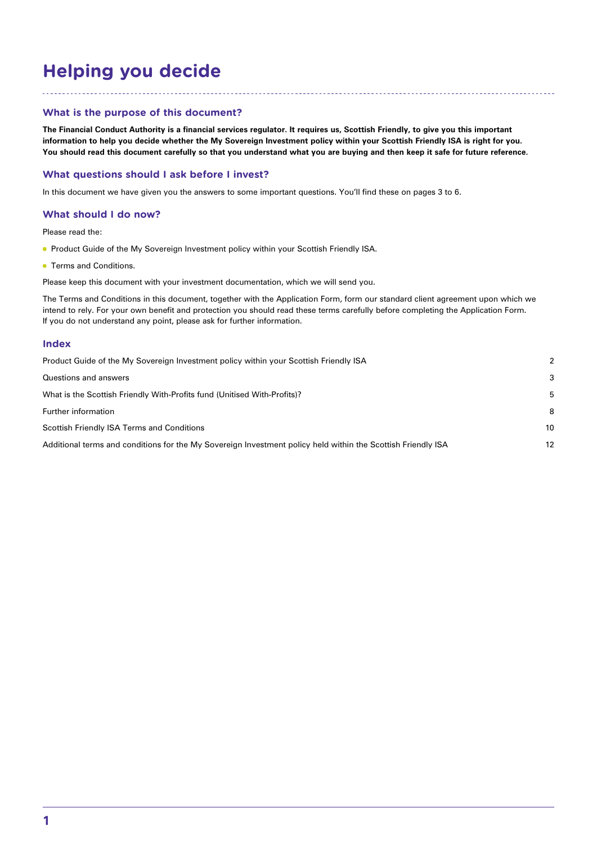## **Helping you decide**

## **What is the purpose of this document?**

**The Financial Conduct Authority is a financial services regulator. It requires us, Scottish Friendly, to give you this important information to help you decide whether the My Sovereign Investment policy within your Scottish Friendly ISA is right for you. You should read this document carefully so that you understand what you are buying and then keep it safe for future reference.**

## **What questions should I ask before I invest?**

In this document we have given you the answers to some important questions. You'll find these on pages 3 to 6.

## **What should I do now?**

Please read the:

- **Product Guide of the My Sovereign Investment policy within your Scottish Friendly ISA.**
- **Terms and Conditions.**

Please keep this document with your investment documentation, which we will send you.

The Terms and Conditions in this document, together with the Application Form, form our standard client agreement upon which we intend to rely. For your own benefit and protection you should read these terms carefully before completing the Application Form. If you do not understand any point, please ask for further information.

#### **Index**

| Product Guide of the My Sovereign Investment policy within your Scottish Friendly ISA                        | $\mathcal{P}$ |
|--------------------------------------------------------------------------------------------------------------|---------------|
| Questions and answers                                                                                        | 3             |
| What is the Scottish Friendly With-Profits fund (Unitised With-Profits)?                                     | 5             |
| Further information                                                                                          | 8             |
| Scottish Friendly ISA Terms and Conditions                                                                   | 10            |
| Additional terms and conditions for the My Sovereign Investment policy held within the Scottish Friendly ISA | 12            |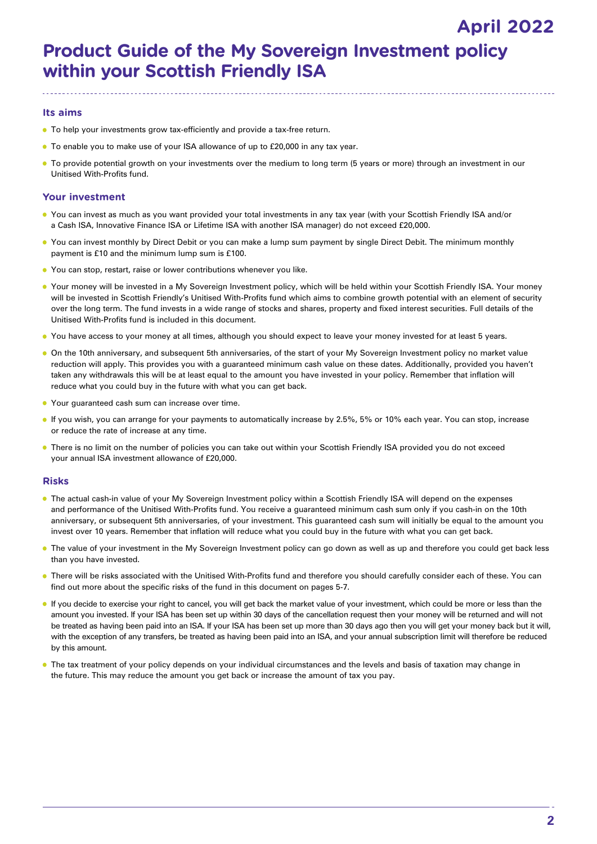## **Product Guide of the My Sovereign Investment policy within your Scottish Friendly ISA April 2022**

## **Its aims**

- To help your investments grow tax-efficiently and provide a tax-free return.
- To enable you to make use of your ISA allowance of up to £20,000 in any tax year.
- To provide potential growth on your investments over the medium to long term (5 years or more) through an investment in our Unitised With-Profits fund.

## **Your investment**

- You can invest as much as you want provided your total investments in any tax year (with your Scottish Friendly ISA and/or a Cash ISA, Innovative Finance ISA or Lifetime ISA with another ISA manager) do not exceed £20,000.
- You can invest monthly by Direct Debit or you can make a lump sum payment by single Direct Debit. The minimum monthly payment is £10 and the minimum lump sum is £100.
- You can stop, restart, raise or lower contributions whenever you like.
- Your money will be invested in a My Sovereign Investment policy, which will be held within your Scottish Friendly ISA. Your money will be invested in Scottish Friendly's Unitised With-Profits fund which aims to combine growth potential with an element of security over the long term. The fund invests in a wide range of stocks and shares, property and fixed interest securities. Full details of the Unitised With-Profits fund is included in this document.
- You have access to your money at all times, although you should expect to leave your money invested for at least 5 years.
- On the 10th anniversary, and subsequent 5th anniversaries, of the start of your My Sovereign Investment policy no market value reduction will apply. This provides you with a guaranteed minimum cash value on these dates. Additionally, provided you haven't taken any withdrawals this will be at least equal to the amount you have invested in your policy. Remember that inflation will reduce what you could buy in the future with what you can get back.
- Your guaranteed cash sum can increase over time.
- If you wish, you can arrange for your payments to automatically increase by 2.5%, 5% or 10% each year. You can stop, increase or reduce the rate of increase at any time.
- There is no limit on the number of policies you can take out within your Scottish Friendly ISA provided you do not exceed your annual ISA investment allowance of £20,000.

## **Risks**

- The actual cash-in value of your My Sovereign Investment policy within a Scottish Friendly ISA will depend on the expenses and performance of the Unitised With-Profits fund. You receive a guaranteed minimum cash sum only if you cash-in on the 10th anniversary, or subsequent 5th anniversaries, of your investment. This guaranteed cash sum will initially be equal to the amount you invest over 10 years. Remember that inflation will reduce what you could buy in the future with what you can get back.
- The value of your investment in the My Sovereign Investment policy can go down as well as up and therefore you could get back less than you have invested.
- **.** There will be risks associated with the Unitised With-Profits fund and therefore you should carefully consider each of these. You can find out more about the specific risks of the fund in this document on pages 5-7.
- If you decide to exercise your right to cancel, you will get back the market value of your investment, which could be more or less than the amount you invested. If your ISA has been set up within 30 days of the cancellation request then your money will be returned and will not be treated as having been paid into an ISA. If your ISA has been set up more than 30 days ago then you will get your money back but it will, with the exception of any transfers, be treated as having been paid into an ISA, and your annual subscription limit will therefore be reduced by this amount.
- The tax treatment of your policy depends on your individual circumstances and the levels and basis of taxation may change in the future. This may reduce the amount you get back or increase the amount of tax you pay.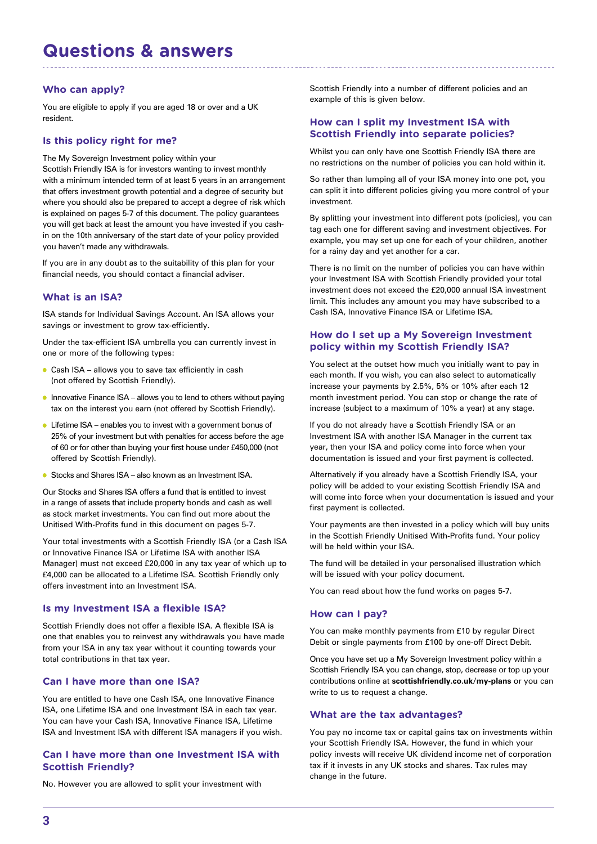## **Questions & answers**

## **Who can apply?**

You are eligible to apply if you are aged 18 or over and a UK resident.

## **Is this policy right for me?**

The My Sovereign Investment policy within your Scottish Friendly ISA is for investors wanting to invest monthly with a minimum intended term of at least 5 years in an arrangement that offers investment growth potential and a degree of security but where you should also be prepared to accept a degree of risk which is explained on pages 5-7 of this document. The policy guarantees you will get back at least the amount you have invested if you cashin on the 10th anniversary of the start date of your policy provided you haven't made any withdrawals.

If you are in any doubt as to the suitability of this plan for your financial needs, you should contact a financial adviser.

## **What is an ISA?**

ISA stands for Individual Savings Account. An ISA allows your savings or investment to grow tax-efficiently.

Under the tax-efficient ISA umbrella you can currently invest in one or more of the following types:

- Cash ISA allows you to save tax efficiently in cash (not offered by Scottish Friendly).
- **•** Innovative Finance ISA allows you to lend to others without paying tax on the interest you earn (not offered by Scottish Friendly).
- Lifetime ISA enables you to invest with a government bonus of 25% of your investment but with penalties for access before the age of 60 or for other than buying your first house under £450,000 (not offered by Scottish Friendly).
- Stocks and Shares ISA also known as an Investment ISA.

Our Stocks and Shares ISA offers a fund that is entitled to invest in a range of assets that include property bonds and cash as well as stock market investments. You can find out more about the Unitised With-Profits fund in this document on pages 5-7.

Your total investments with a Scottish Friendly ISA (or a Cash ISA or Innovative Finance ISA or Lifetime ISA with another ISA Manager) must not exceed £20,000 in any tax year of which up to £4,000 can be allocated to a Lifetime ISA. Scottish Friendly only offers investment into an Investment ISA.

## **Is my Investment ISA a flexible ISA?**

Scottish Friendly does not offer a flexible ISA. A flexible ISA is one that enables you to reinvest any withdrawals you have made from your ISA in any tax year without it counting towards your total contributions in that tax year.

## **Can I have more than one ISA?**

You are entitled to have one Cash ISA, one Innovative Finance ISA, one Lifetime ISA and one Investment ISA in each tax year. You can have your Cash ISA, Innovative Finance ISA, Lifetime ISA and Investment ISA with different ISA managers if you wish.

## **Can I have more than one Investment ISA with Scottish Friendly?**

No. However you are allowed to split your investment with

Scottish Friendly into a number of different policies and an example of this is given below.

## **How can I split my Investment ISA with Scottish Friendly into separate policies?**

Whilst you can only have one Scottish Friendly ISA there are no restrictions on the number of policies you can hold within it.

So rather than lumping all of your ISA money into one pot, you can split it into different policies giving you more control of your investment.

By splitting your investment into different pots (policies), you can tag each one for different saving and investment objectives. For example, you may set up one for each of your children, another for a rainy day and yet another for a car.

There is no limit on the number of policies you can have within your Investment ISA with Scottish Friendly provided your total investment does not exceed the £20,000 annual ISA investment limit. This includes any amount you may have subscribed to a Cash ISA, Innovative Finance ISA or Lifetime ISA.

## **How do I set up a My Sovereign Investment policy within my Scottish Friendly ISA?**

You select at the outset how much you initially want to pay in each month. If you wish, you can also select to automatically increase your payments by 2.5%, 5% or 10% after each 12 month investment period. You can stop or change the rate of increase (subject to a maximum of 10% a year) at any stage.

If you do not already have a Scottish Friendly ISA or an Investment ISA with another ISA Manager in the current tax year, then your ISA and policy come into force when your documentation is issued and your first payment is collected.

Alternatively if you already have a Scottish Friendly ISA, your policy will be added to your existing Scottish Friendly ISA and will come into force when your documentation is issued and your first payment is collected.

Your payments are then invested in a policy which will buy units in the Scottish Friendly Unitised With-Profits fund. Your policy will be held within your ISA.

The fund will be detailed in your personalised illustration which will be issued with your policy document.

You can read about how the fund works on pages 5-7.

#### **How can I pay?**

You can make monthly payments from £10 by regular Direct Debit or single payments from £100 by one-off Direct Debit.

Once you have set up a My Sovereign Investment policy within a Scottish Friendly ISA you can change, stop, decrease or top up your contributions online at **scottishfriendly.co.uk/my-plans** or you can write to us to request a change.

#### **What are the tax advantages?**

You pay no income tax or capital gains tax on investments within your Scottish Friendly ISA. However, the fund in which your policy invests will receive UK dividend income net of corporation tax if it invests in any UK stocks and shares. Tax rules may change in the future.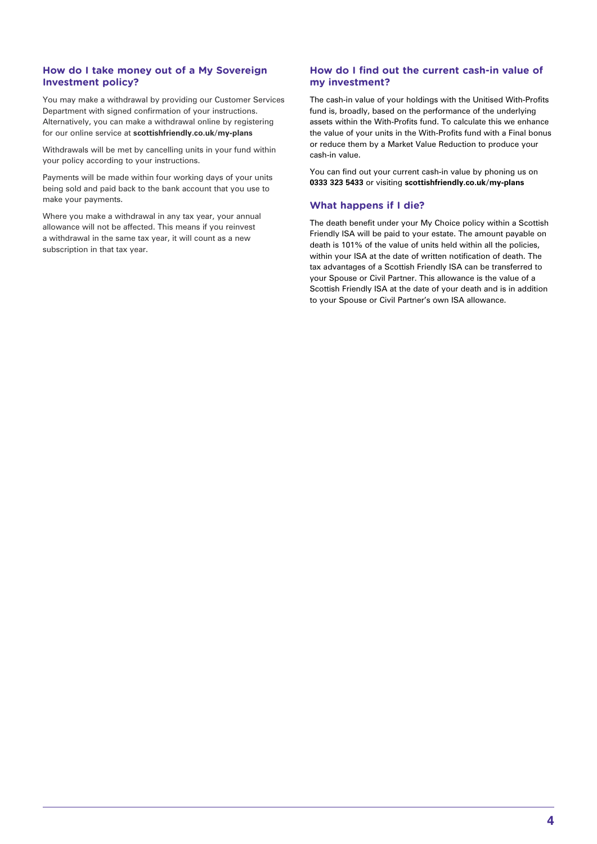## **How do I take money out of a My Sovereign Investment policy?**

You may make a withdrawal by providing our Customer Services Department with signed confirmation of your instructions. Alternatively, you can make a withdrawal online by registering for our online service at **scottishfriendly.co.uk/my-plans**

Withdrawals will be met by cancelling units in your fund within your policy according to your instructions.

Payments will be made within four working days of your units being sold and paid back to the bank account that you use to make your payments.

Where you make a withdrawal in any tax year, your annual allowance will not be affected. This means if you reinvest a withdrawal in the same tax year, it will count as a new subscription in that tax year.

## **How do I find out the current cash-in value of my investment?**

The cash-in value of your holdings with the Unitised With-Profits fund is, broadly, based on the performance of the underlying assets within the With-Profits fund. To calculate this we enhance the value of your units in the With-Profits fund with a Final bonus or reduce them by a Market Value Reduction to produce your cash-in value.

You can find out your current cash-in value by phoning us on **0333 323 5433** or visiting **scottishfriendly.co.uk/my-plans**

## **What happens if I die?**

The death benefit under your My Choice policy within a Scottish Friendly ISA will be paid to your estate. The amount payable on death is 101% of the value of units held within all the policies, within your ISA at the date of written notification of death. The tax advantages of a Scottish Friendly ISA can be transferred to your Spouse or Civil Partner. This allowance is the value of a Scottish Friendly ISA at the date of your death and is in addition to your Spouse or Civil Partner's own ISA allowance.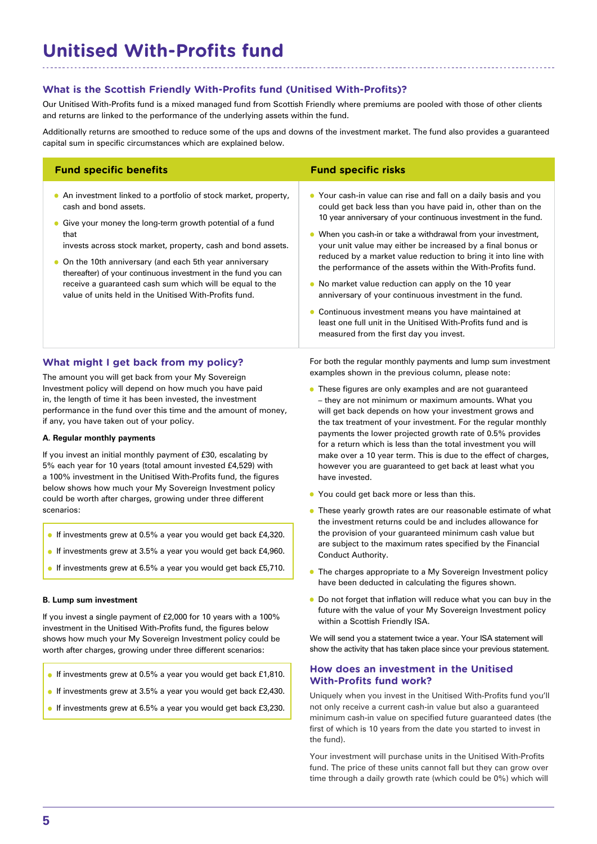## **Unitised With-Profits fund**

## **What is the Scottish Friendly With-Profits fund (Unitised With-Profits)?**

Our Unitised With-Profits fund is a mixed managed fund from Scottish Friendly where premiums are pooled with those of other clients and returns are linked to the performance of the underlying assets within the fund.

Additionally returns are smoothed to reduce some of the ups and downs of the investment market. The fund also provides a guaranteed capital sum in specific circumstances which are explained below.

| <b>Fund specific benefits</b>                                                                                                                                                                                                                                                                                                                                                                                                                                                      | <b>Fund specific risks</b>                                                                                                                                                                                                                                                                                                                                                                                                                                                                                                                                                                                                                                                                                                                          |
|------------------------------------------------------------------------------------------------------------------------------------------------------------------------------------------------------------------------------------------------------------------------------------------------------------------------------------------------------------------------------------------------------------------------------------------------------------------------------------|-----------------------------------------------------------------------------------------------------------------------------------------------------------------------------------------------------------------------------------------------------------------------------------------------------------------------------------------------------------------------------------------------------------------------------------------------------------------------------------------------------------------------------------------------------------------------------------------------------------------------------------------------------------------------------------------------------------------------------------------------------|
| • An investment linked to a portfolio of stock market, property,<br>cash and bond assets.<br>• Give your money the long-term growth potential of a fund<br>that<br>invests across stock market, property, cash and bond assets.<br>• On the 10th anniversary (and each 5th year anniversary<br>thereafter) of your continuous investment in the fund you can<br>receive a guaranteed cash sum which will be equal to the<br>value of units held in the Unitised With-Profits fund. | • Your cash-in value can rise and fall on a daily basis and you<br>could get back less than you have paid in, other than on the<br>10 year anniversary of your continuous investment in the fund.<br>When you cash-in or take a withdrawal from your investment,<br>your unit value may either be increased by a final bonus or<br>reduced by a market value reduction to bring it into line with<br>the performance of the assets within the With-Profits fund.<br>• No market value reduction can apply on the 10 year<br>anniversary of your continuous investment in the fund.<br>Continuous investment means you have maintained at<br>least one full unit in the Unitised With-Profits fund and is<br>measured from the first day you invest. |
| What might I get back from my policy?                                                                                                                                                                                                                                                                                                                                                                                                                                              | For both the regular monthly payments and lump sum investment<br>examples shown in the previous column, please note:                                                                                                                                                                                                                                                                                                                                                                                                                                                                                                                                                                                                                                |

The amount you will get back from your My Sovereign Investment policy will depend on how much you have paid in, the length of time it has been invested, the investment performance in the fund over this time and the amount of money, if any, you have taken out of your policy.

#### **A. Regular monthly payments**

If you invest an initial monthly payment of £30, escalating by 5% each year for 10 years (total amount invested £4,529) with a 100% investment in the Unitised With-Profits fund, the figures below shows how much your My Sovereign Investment policy could be worth after charges, growing under three different scenarios:

- If investments grew at 0.5% a year you would get back £4,320.
- If investments grew at 3.5% a year you would get back £4,960.
- If investments grew at 6.5% a year you would get back £5.710.

#### **B. Lump sum investment**

If you invest a single payment of £2,000 for 10 years with a 100% investment in the Unitised With-Profits fund, the figures below shows how much your My Sovereign Investment policy could be worth after charges, growing under three different scenarios:

- If investments grew at 0.5% a year you would get back £1,810.
- If investments grew at 3.5% a year you would get back £2,430.
- **If investments grew at 6.5% a year you would get back £3,230.**

examples shown in the previous column, please note:

- **•** These figures are only examples and are not guaranteed – they are not minimum or maximum amounts. What you will get back depends on how your investment grows and the tax treatment of your investment. For the regular monthly payments the lower projected growth rate of 0.5% provides for a return which is less than the total investment you will make over a 10 year term. This is due to the effect of charges, however you are guaranteed to get back at least what you have invested.
- You could get back more or less than this.
- **•** These yearly growth rates are our reasonable estimate of what the investment returns could be and includes allowance for the provision of your guaranteed minimum cash value but are subject to the maximum rates specified by the Financial Conduct Authority.
- The charges appropriate to a My Sovereign Investment policy have been deducted in calculating the figures shown.
- Do not forget that inflation will reduce what you can buy in the future with the value of your My Sovereign Investment policy within a Scottish Friendly ISA.

We will send you a statement twice a year. Your ISA statement will show the activity that has taken place since your previous statement.

## **How does an investment in the Unitised With-Profits fund work?**

Uniquely when you invest in the Unitised With-Profits fund you'll not only receive a current cash-in value but also a guaranteed minimum cash-in value on specified future guaranteed dates (the first of which is 10 years from the date you started to invest in the fund).

Your investment will purchase units in the Unitised With-Profits fund. The price of these units cannot fall but they can grow over time through a daily growth rate (which could be 0%) which will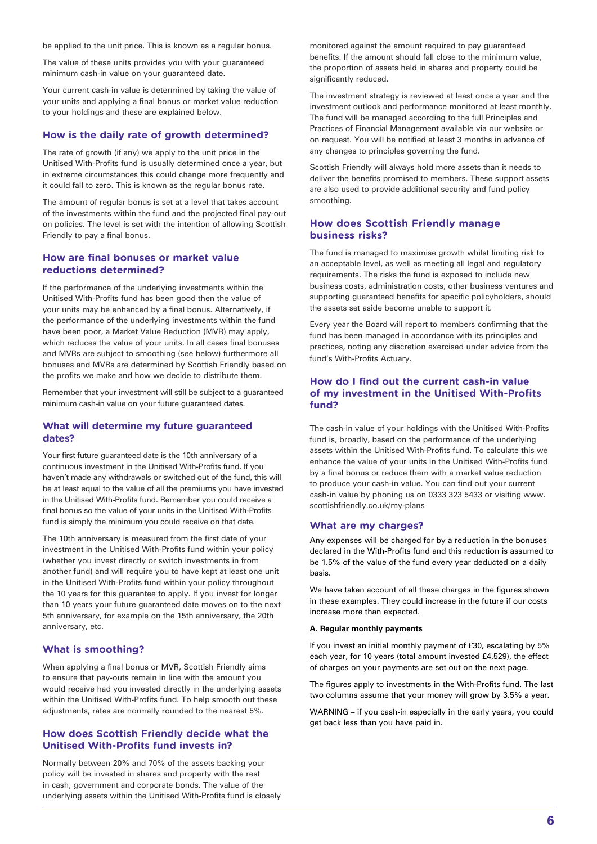be applied to the unit price. This is known as a regular bonus.

The value of these units provides you with your guaranteed minimum cash-in value on your guaranteed date.

Your current cash-in value is determined by taking the value of your units and applying a final bonus or market value reduction to your holdings and these are explained below.

#### **How is the daily rate of growth determined?**

The rate of growth (if any) we apply to the unit price in the Unitised With-Profits fund is usually determined once a year, but in extreme circumstances this could change more frequently and it could fall to zero. This is known as the regular bonus rate.

The amount of regular bonus is set at a level that takes account of the investments within the fund and the projected final pay-out on policies. The level is set with the intention of allowing Scottish Friendly to pay a final bonus.

## **How are final bonuses or market value reductions determined?**

If the performance of the underlying investments within the Unitised With-Profits fund has been good then the value of your units may be enhanced by a final bonus. Alternatively, if the performance of the underlying investments within the fund have been poor, a Market Value Reduction (MVR) may apply, which reduces the value of your units. In all cases final bonuses and MVRs are subject to smoothing (see below) furthermore all bonuses and MVRs are determined by Scottish Friendly based on the profits we make and how we decide to distribute them.

Remember that your investment will still be subject to a guaranteed minimum cash-in value on your future guaranteed dates.

### **What will determine my future guaranteed dates?**

Your first future guaranteed date is the 10th anniversary of a continuous investment in the Unitised With-Profits fund. If you haven't made any withdrawals or switched out of the fund, this will be at least equal to the value of all the premiums you have invested in the Unitised With-Profits fund. Remember you could receive a final bonus so the value of your units in the Unitised With-Profits fund is simply the minimum you could receive on that date.

The 10th anniversary is measured from the first date of your investment in the Unitised With-Profits fund within your policy (whether you invest directly or switch investments in from another fund) and will require you to have kept at least one unit in the Unitised With-Profits fund within your policy throughout the 10 years for this guarantee to apply. If you invest for longer than 10 years your future guaranteed date moves on to the next 5th anniversary, for example on the 15th anniversary, the 20th anniversary, etc.

#### **What is smoothing?**

When applying a final bonus or MVR, Scottish Friendly aims to ensure that pay-outs remain in line with the amount you would receive had you invested directly in the underlying assets within the Unitised With-Profits fund. To help smooth out these adjustments, rates are normally rounded to the nearest 5%.

### **How does Scottish Friendly decide what the Unitised With-Profits fund invests in?**

Normally between 20% and 70% of the assets backing your policy will be invested in shares and property with the rest in cash, government and corporate bonds. The value of the underlying assets within the Unitised With-Profits fund is closely

monitored against the amount required to pay guaranteed benefits. If the amount should fall close to the minimum value, the proportion of assets held in shares and property could be significantly reduced.

The investment strategy is reviewed at least once a year and the investment outlook and performance monitored at least monthly. The fund will be managed according to the full Principles and Practices of Financial Management available via our website or on request. You will be notified at least 3 months in advance of any changes to principles governing the fund.

Scottish Friendly will always hold more assets than it needs to deliver the benefits promised to members. These support assets are also used to provide additional security and fund policy smoothing.

## **How does Scottish Friendly manage business risks?**

The fund is managed to maximise growth whilst limiting risk to an acceptable level, as well as meeting all legal and regulatory requirements. The risks the fund is exposed to include new business costs, administration costs, other business ventures and supporting guaranteed benefits for specific policyholders, should the assets set aside become unable to support it.

Every year the Board will report to members confirming that the fund has been managed in accordance with its principles and practices, noting any discretion exercised under advice from the fund's With-Profits Actuary.

## **How do I find out the current cash-in value of my investment in the Unitised With-Profits fund?**

The cash-in value of your holdings with the Unitised With-Profits fund is, broadly, based on the performance of the underlying assets within the Unitised With-Profits fund. To calculate this we enhance the value of your units in the Unitised With-Profits fund by a final bonus or reduce them with a market value reduction to produce your cash-in value. You can find out your current cash-in value by phoning us on 0333 323 5433 or visiting www. scottishfriendly.co.uk/my-plans

#### **What are my charges?**

Any expenses will be charged for by a reduction in the bonuses declared in the With-Profits fund and this reduction is assumed to be 1.5% of the value of the fund every year deducted on a daily basis.

We have taken account of all these charges in the figures shown in these examples. They could increase in the future if our costs increase more than expected.

#### **A. Regular monthly payments**

If you invest an initial monthly payment of £30, escalating by 5% each year, for 10 years (total amount invested £4,529), the effect of charges on your payments are set out on the next page.

The figures apply to investments in the With-Profits fund. The last two columns assume that your money will grow by 3.5% a year.

WARNING – if you cash-in especially in the early years, you could get back less than you have paid in.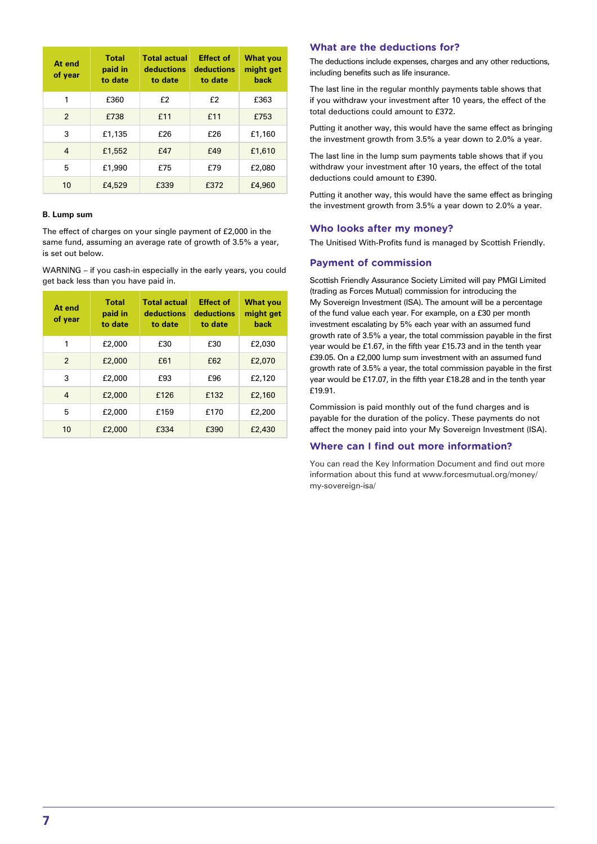| At end<br>of year | <b>Total</b><br>paid in<br>to date | <b>Total actual</b><br>deductions<br>to date | <b>Effect of</b><br>deductions<br>to date | <b>What you</b><br>might get<br>back |
|-------------------|------------------------------------|----------------------------------------------|-------------------------------------------|--------------------------------------|
| 1                 | £360                               | £2                                           | f2                                        | £363                                 |
| $\overline{2}$    | £738                               | £11                                          | £11                                       | £753                                 |
| 3                 | £1,135                             | £26                                          | £26                                       | £1,160                               |
| 4                 | £1,552                             | £47                                          | £49                                       | £1,610                               |
| 5                 | £1,990                             | £75                                          | £79                                       | £2,080                               |
| 10                | £4,529                             | £339                                         | £372                                      | £4,960                               |

### **B. Lump sum**

The effect of charges on your single payment of £2,000 in the same fund, assuming an average rate of growth of 3.5% a year, is set out below.

WARNING – if you cash-in especially in the early years, you could get back less than you have paid in.

| At end<br>of year | Total<br>paid in<br>to date | <b>Total actual</b><br>deductions<br>to date | <b>Effect of</b><br>deductions<br>to date | <b>What you</b><br>might get<br>back |
|-------------------|-----------------------------|----------------------------------------------|-------------------------------------------|--------------------------------------|
| 1                 | £2,000                      | £30                                          | £30                                       | £2,030                               |
| $\overline{2}$    | £2,000                      | £61                                          | £62                                       | £2,070                               |
| 3                 | £2,000                      | £93                                          | f96                                       | £2,120                               |
| $\overline{4}$    | £2,000                      | £126                                         | £132                                      | £2,160                               |
| 5                 | £2,000                      | £159                                         | £170                                      | £2,200                               |
| 10                | £2,000                      | £334                                         | £390                                      | £2,430                               |

## **What are the deductions for?**

The deductions include expenses, charges and any other reductions, including benefits such as life insurance.

The last line in the regular monthly payments table shows that if you withdraw your investment after 10 years, the effect of the total deductions could amount to £372.

Putting it another way, this would have the same effect as bringing the investment growth from 3.5% a year down to 2.0% a year.

The last line in the lump sum payments table shows that if you withdraw your investment after 10 years, the effect of the total deductions could amount to £390.

Putting it another way, this would have the same effect as bringing the investment growth from 3.5% a year down to 2.0% a year.

## **Who looks after my money?**

The Unitised With-Profits fund is managed by Scottish Friendly.

#### **Payment of commission**

Scottish Friendly Assurance Society Limited will pay PMGI Limited (trading as Forces Mutual) commission for introducing the My Sovereign Investment (ISA). The amount will be a percentage of the fund value each year. For example, on a £30 per month investment escalating by 5% each year with an assumed fund growth rate of 3.5% a year, the total commission payable in the first year would be £1.67, in the fifth year £15.73 and in the tenth year £39.05. On a £2,000 lump sum investment with an assumed fund growth rate of 3.5% a year, the total commission payable in the first year would be £17.07, in the fifth year £18.28 and in the tenth year £19.91.

Commission is paid monthly out of the fund charges and is payable for the duration of the policy. These payments do not affect the money paid into your My Sovereign Investment (ISA).

### **Where can I find out more information?**

You can read the Key Information Document and find out more information about this fund at www.forcesmutual.org/money/ my-sovereign-isa/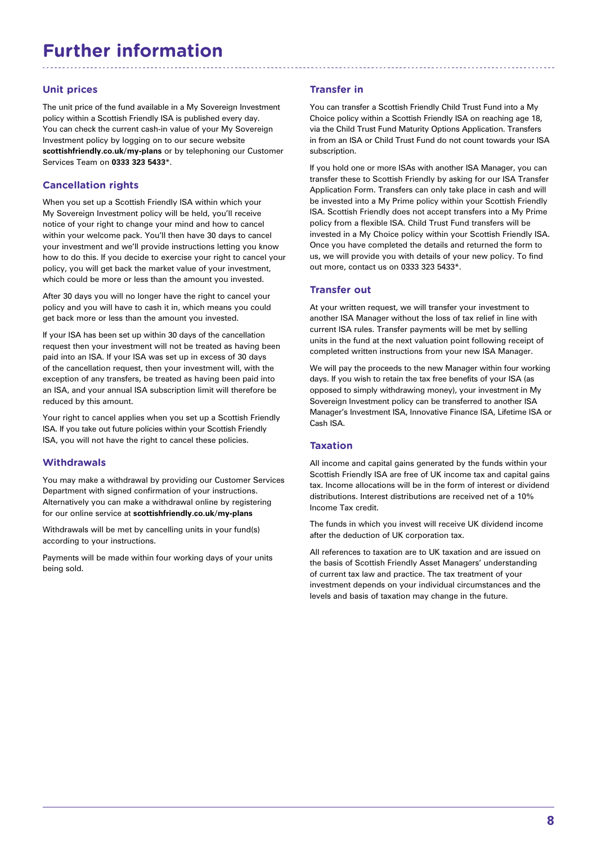## **Further information**

## **Unit prices**

The unit price of the fund available in a My Sovereign Investment policy within a Scottish Friendly ISA is published every day. You can check the current cash-in value of your My Sovereign Investment policy by logging on to our secure website **scottishfriendly.co.uk/my-plans** or by telephoning our Customer Services Team on **0333 323 5433**\*.

## **Cancellation rights**

When you set up a Scottish Friendly ISA within which your My Sovereign Investment policy will be held, you'll receive notice of your right to change your mind and how to cancel within your welcome pack. You'll then have 30 days to cancel your investment and we'll provide instructions letting you know how to do this. If you decide to exercise your right to cancel your policy, you will get back the market value of your investment, which could be more or less than the amount you invested.

After 30 days you will no longer have the right to cancel your policy and you will have to cash it in, which means you could get back more or less than the amount you invested.

If your ISA has been set up within 30 days of the cancellation request then your investment will not be treated as having been paid into an ISA. If your ISA was set up in excess of 30 days of the cancellation request, then your investment will, with the exception of any transfers, be treated as having been paid into an ISA, and your annual ISA subscription limit will therefore be reduced by this amount.

Your right to cancel applies when you set up a Scottish Friendly ISA. If you take out future policies within your Scottish Friendly ISA, you will not have the right to cancel these policies.

## **Withdrawals**

You may make a withdrawal by providing our Customer Services Department with signed confirmation of your instructions. Alternatively you can make a withdrawal online by registering for our online service at **scottishfriendly.co.uk/my-plans**

Withdrawals will be met by cancelling units in your fund(s) according to your instructions.

Payments will be made within four working days of your units being sold.

## **Transfer in**

You can transfer a Scottish Friendly Child Trust Fund into a My Choice policy within a Scottish Friendly ISA on reaching age 18, via the Child Trust Fund Maturity Options Application. Transfers in from an ISA or Child Trust Fund do not count towards your ISA subscription.

If you hold one or more ISAs with another ISA Manager, you can transfer these to Scottish Friendly by asking for our ISA Transfer Application Form. Transfers can only take place in cash and will be invested into a My Prime policy within your Scottish Friendly ISA. Scottish Friendly does not accept transfers into a My Prime policy from a flexible ISA. Child Trust Fund transfers will be invested in a My Choice policy within your Scottish Friendly ISA. Once you have completed the details and returned the form to us, we will provide you with details of your new policy. To find out more, contact us on 0333 323 5433\*.

## **Transfer out**

At your written request, we will transfer your investment to another ISA Manager without the loss of tax relief in line with current ISA rules. Transfer payments will be met by selling units in the fund at the next valuation point following receipt of completed written instructions from your new ISA Manager.

We will pay the proceeds to the new Manager within four working days. If you wish to retain the tax free benefits of your ISA (as opposed to simply withdrawing money), your investment in My Sovereign Investment policy can be transferred to another ISA Manager's Investment ISA, Innovative Finance ISA, Lifetime ISA or Cash ISA.

## **Taxation**

All income and capital gains generated by the funds within your Scottish Friendly ISA are free of UK income tax and capital gains tax. Income allocations will be in the form of interest or dividend distributions. Interest distributions are received net of a 10% Income Tax credit.

The funds in which you invest will receive UK dividend income after the deduction of UK corporation tax.

All references to taxation are to UK taxation and are issued on the basis of Scottish Friendly Asset Managers' understanding of current tax law and practice. The tax treatment of your investment depends on your individual circumstances and the levels and basis of taxation may change in the future.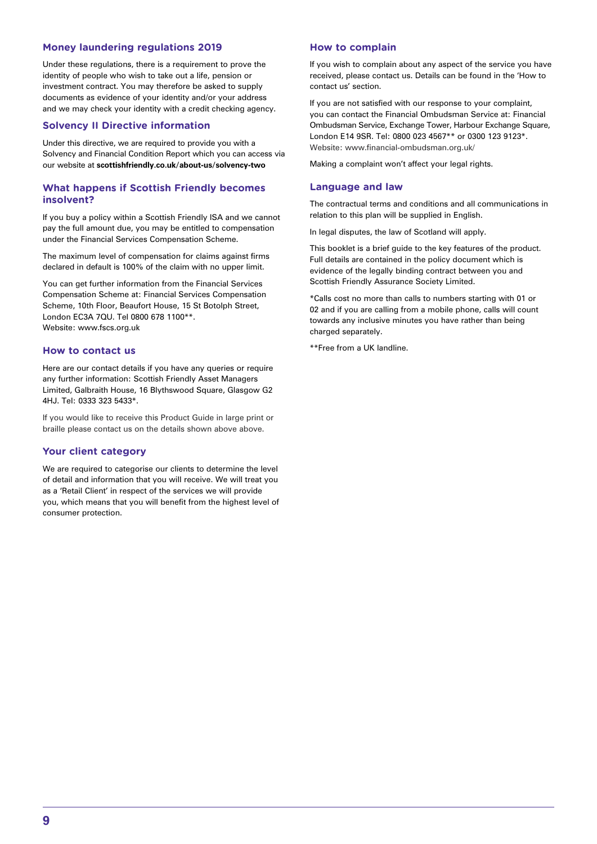## **Money laundering regulations 2019**

Under these regulations, there is a requirement to prove the identity of people who wish to take out a life, pension or investment contract. You may therefore be asked to supply documents as evidence of your identity and/or your address and we may check your identity with a credit checking agency.

## **Solvency II Directive information**

Under this directive, we are required to provide you with a Solvency and Financial Condition Report which you can access via our website at **scottishfriendly.co.uk/about-us/solvency-two**

## **What happens if Scottish Friendly becomes insolvent?**

If you buy a policy within a Scottish Friendly ISA and we cannot pay the full amount due, you may be entitled to compensation under the Financial Services Compensation Scheme.

The maximum level of compensation for claims against firms declared in default is 100% of the claim with no upper limit.

You can get further information from the Financial Services Compensation Scheme at: Financial Services Compensation Scheme, 10th Floor, Beaufort House, 15 St Botolph Street, London EC3A 7QU. Tel 0800 678 1100\*\*. Website: www.fscs.org.uk

#### **How to contact us**

Here are our contact details if you have any queries or require any further information: Scottish Friendly Asset Managers Limited, Galbraith House, 16 Blythswood Square, Glasgow G2 4HJ. Tel: 0333 323 5433\*.

If you would like to receive this Product Guide in large print or braille please contact us on the details shown above above.

## **Your client category**

We are required to categorise our clients to determine the level of detail and information that you will receive. We will treat you as a 'Retail Client' in respect of the services we will provide you, which means that you will benefit from the highest level of consumer protection.

#### **How to complain**

If you wish to complain about any aspect of the service you have received, please contact us. Details can be found in the 'How to contact us' section.

If you are not satisfied with our response to your complaint, you can contact the Financial Ombudsman Service at: Financial Ombudsman Service, Exchange Tower, Harbour Exchange Square, London E14 9SR. Tel: 0800 023 4567\*\* or 0300 123 9123\*. Website: www.financial-ombudsman.org.uk/

Making a complaint won't affect your legal rights.

#### **Language and law**

The contractual terms and conditions and all communications in relation to this plan will be supplied in English.

In legal disputes, the law of Scotland will apply.

This booklet is a brief guide to the key features of the product. Full details are contained in the policy document which is evidence of the legally binding contract between you and Scottish Friendly Assurance Society Limited.

\*Calls cost no more than calls to numbers starting with 01 or 02 and if you are calling from a mobile phone, calls will count towards any inclusive minutes you have rather than being charged separately.

\*\*Free from a UK landline.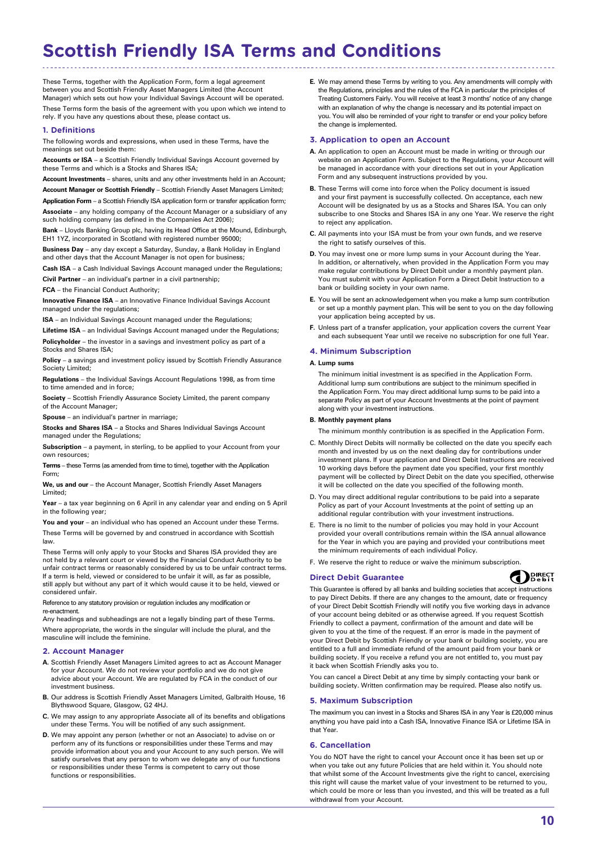## **Scottish Friendly ISA Terms and Conditions**

These Terms, together with the Application Form, form a legal agreement between you and Scottish Friendly Asset Managers Limited (the Account Manager) which sets out how your Individual Savings Account will be operated.

These Terms form the basis of the agreement with you upon which we intend to rely. If you have any questions about these, please contact us.

#### **1. Definitions**

The following words and expressions, when used in these Terms, have the meanings set out beside them:

**Accounts or ISA** – a Scottish Friendly Individual Savings Account governed by these Terms and which is a Stocks and Shares ISA;

**Account Investments** – shares, units and any other investments held in an Account;

**Account Manager or Scottish Friendly** – Scottish Friendly Asset Managers Limited; **Application Form** – a Scottish Friendly ISA application form or transfer application form;

**Associate** – any holding company of the Account Manager or a subsidiary of any such holding company (as defined in the Companies Act 2006);

**Bank** – Lloyds Banking Group plc, having its Head Office at the Mound, Edinburgh, EH1 1YZ, incorporated in Scotland with registered number 95000;

**Business Day** – any day except a Saturday, Sunday, a Bank Holiday in England and other days that the Account Manager is not open for business

**Cash ISA** – a Cash Individual Savings Account managed under the Regulations;

**Civil Partner** – an individual's partner in a civil partnership;

**FCA** – the Financial Conduct Authority;

**Innovative Finance ISA** – an Innovative Finance Individual Savings Account managed under the regulations;

**ISA** – an Individual Savings Account managed under the Regulations;

**Lifetime ISA** – an Individual Savings Account managed under the Regulations; **Policyholder** – the investor in a savings and investment policy as part of a Stocks and Shares ISA:

**Policy** – a savings and investment policy issued by Scottish Friendly Assurance Society Limited:

**Regulations** – the Individual Savings Account Regulations 1998, as from time to time amended and in force;

**Society** – Scottish Friendly Assurance Society Limited, the parent company of the Account Manager;

**Spouse** – an individual's partner in marriage;

**Stocks and Shares ISA** – a Stocks and Shares Individual Savings Account managed under the Regulations;

**Subscription** – a payment, in sterling, to be applied to your Account from your own resources;

**Terms** – these Terms (as amended from time to time), together with the Application Form;

**We, us and our** – the Account Manager, Scottish Friendly Asset Managers Limited;

**Year** – a tax year beginning on 6 April in any calendar year and ending on 5 April in the following year;

You and your - an individual who has opened an Account under these Terms. These Terms will be governed by and construed in accordance with Scottish law.

These Terms will only apply to your Stocks and Shares ISA provided they are not held by a relevant court or viewed by the Financial Conduct Authority to be unfair contract terms or reasonably considered by us to be unfair contract terms. If a term is held, viewed or considered to be unfair it will, as far as possible, still apply but without any part of it which would cause it to be held, viewed or considered unfair.

Reference to any statutory provision or regulation includes any modification or re-enactment.

Any headings and subheadings are not a legally binding part of these Terms. Where appropriate, the words in the singular will include the plural, and the masculine will include the feminine.

#### **2. Account Manager**

- **A.** Scottish Friendly Asset Managers Limited agrees to act as Account Manager for your Account. We do not review your portfolio and we do not give advice about your Account. We are regulated by FCA in the conduct of our investment business.
- **B.** Our address is Scottish Friendly Asset Managers Limited, Galbraith House, 16 Blythswood Square, Glasgow, G2 4HJ.
- **C.** We may assign to any appropriate Associate all of its benefits and obligations under these Terms. You will be notified of any such assignment.
- **D.** We may appoint any person (whether or not an Associate) to advise on or perform any of its functions or responsibilities under these Terms and may provide information about you and your Account to any such person. We will satisfy ourselves that any person to whom we delegate any of our functions or responsibilities under these Terms is competent to carry out those functions or responsibilities.

**E.** We may amend these Terms by writing to you. Any amendments will comply with the Regulations, principles and the rules of the FCA in particular the principles of Treating Customers Fairly. You will receive at least 3 months' notice of any change with an explanation of why the change is necessary and its potential impact on you. You will also be reminded of your right to transfer or end your policy before the change is implemented.

#### **3. Application to open an Account**

- **A.** An application to open an Account must be made in writing or through our website on an Application Form. Subject to the Regulations, your Account will be managed in accordance with your directions set out in your Application Form and any subsequent instructions provided by you.
- **B.** These Terms will come into force when the Policy document is issued and your first payment is successfully collected. On acceptance, each new Account will be designated by us as a Stocks and Shares ISA. You can only subscribe to one Stocks and Shares ISA in any one Year. We reserve the right to reject any application.
- **C.** All payments into your ISA must be from your own funds, and we reserve the right to satisfy ourselves of this.
- **D.** You may invest one or more lump sums in your Account during the Year. In addition, or alternatively, when provided in the Application Form you may make regular contributions by Direct Debit under a monthly payment plan. You must submit with your Application Form a Direct Debit Instruction to a bank or building society in your own name.
- **E.** You will be sent an acknowledgement when you make a lump sum contribution or set up a monthly payment plan. This will be sent to you on the day following your application being accepted by us.
- **F.** Unless part of a transfer application, your application covers the current Year and each subsequent Year until we receive no subscription for one full Year.

#### **4. Minimum Subscription**

#### **A. Lump sums**

The minimum initial investment is as specified in the Application Form. Additional lump sum contributions are subject to the minimum specified in the Application Form. You may direct additional lump sums to be paid into a separate Policy as part of your Account Investments at the point of payment along with your investment instructions.

#### **B. Monthly payment plans**

The minimum monthly contribution is as specified in the Application Form.

- C. Monthly Direct Debits will normally be collected on the date you specify each month and invested by us on the next dealing day for contributions under investment plans. If your application and Direct Debit Instructions are received 10 working days before the payment date you specified, your first monthly payment will be collected by Direct Debit on the date you specified, otherwise it will be collected on the date you specified of the following month.
- D. You may direct additional regular contributions to be paid into a separate Policy as part of your Account Investments at the point of setting up an additional regular contribution with your investment instructions.
- E. There is no limit to the number of policies you may hold in your Account provided your overall contributions remain within the ISA annual allowance for the Year in which you are paying and provided your contributions meet the minimum requirements of each individual Policy.
- F. We reserve the right to reduce or waive the minimum subscription.

#### **Direct Debit Guarantee**



This Guarantee is offered by all banks and building societies that accept instructions to pay Direct Debits. If there are any changes to the amount, date or frequency of your Direct Debit Scottish Friendly will notify you five working days in advance of your account being debited or as otherwise agreed. If you request Scottish Friendly to collect a payment, confirmation of the amount and date will be given to you at the time of the request. If an error is made in the payment of your Direct Debit by Scottish Friendly or your bank or building society, you are entitled to a full and immediate refund of the amount paid from your bank or building society. If you receive a refund you are not entitled to, you must pay it back when Scottish Friendly asks you to.

You can cancel a Direct Debit at any time by simply contacting your bank or building society. Written confirmation may be required. Please also notify us.

#### **5. Maximum Subscription**

The maximum you can invest in a Stocks and Shares ISA in any Year is £20,000 minus anything you have paid into a Cash ISA, Innovative Finance ISA or Lifetime ISA in that Year.

#### **6. Cancellation**

You do NOT have the right to cancel your Account once it has been set up or when you take out any future Policies that are held within it. You should note that whilst some of the Account Investments give the right to cancel, exercising this right will cause the market value of your investment to be returned to you, which could be more or less than you invested, and this will be treated as a full withdrawal from your Account.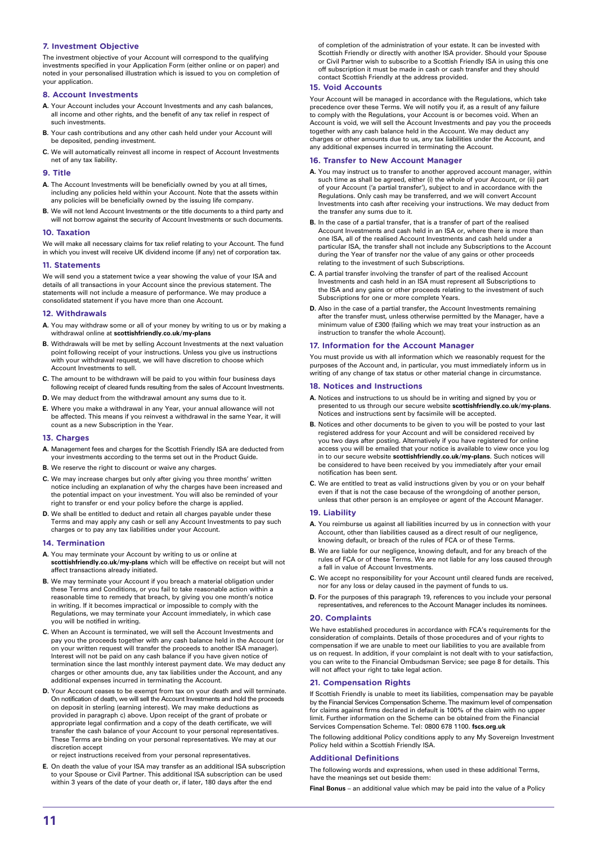#### **7. Investment Objective**

The investment objective of your Account will correspond to the qualifying investments specified in your Application Form (either online or on paper) and noted in your personalised illustration which is issued to you on completion of your application.

#### **8. Account Investments**

- **A.** Your Account includes your Account Investments and any cash balances, all income and other rights, and the benefit of any tax relief in respect of such investments.
- **B.** Your cash contributions and any other cash held under your Account will be deposited, pending investment.
- **C.** We will automatically reinvest all income in respect of Account Investments net of any tax liability.

#### **9. Title**

- **A.** The Account Investments will be beneficially owned by you at all times, including any policies held within your Account. Note that the assets within any policies will be beneficially owned by the issuing life company.
- **B.** We will not lend Account Investments or the title documents to a third party and will not borrow against the security of Account Investments or such documents.

#### **10. Taxation**

We will make all necessary claims for tax relief relating to your Account. The fund in which you invest will receive UK dividend income (if any) net of corporation tax.

#### **11. Statements**

We will send you a statement twice a year showing the value of your ISA and details of all transactions in your Account since the previous statement. The statements will not include a measure of performance. We may produce a consolidated statement if you have more than one Account.

#### **12. Withdrawals**

- **A.** You may withdraw some or all of your money by writing to us or by making a withdrawal online at **scottishfriendly.co.uk/my-plans**
- **B.** Withdrawals will be met by selling Account Investments at the next valuation point following receipt of your instructions. Unless you give us instructions with your withdrawal request, we will have discretion to choose which Account Investments to sell.
- **C.** The amount to be withdrawn will be paid to you within four business days following receipt of cleared funds resulting from the sales of Account Investments.
- **D.** We may deduct from the withdrawal amount any sums due to it.
- **E.** Where you make a withdrawal in any Year, your annual allowance will not be affected. This means if you reinvest a withdrawal in the same Year, it will count as a new Subscription in the Year.

#### **13. Charges**

- **A.** Management fees and charges for the Scottish Friendly ISA are deducted from your investments according to the terms set out in the Product Guide.
- **B.** We reserve the right to discount or waive any charges.
- **C.** We may increase charges but only after giving you three months' written notice including an explanation of why the charges have been increased and the potential impact on your investment. You will also be reminded of your right to transfer or end your policy before the charge is applied.
- **D.** We shall be entitled to deduct and retain all charges payable under these Terms and may apply any cash or sell any Account Investments to pay such charges or to pay any tax liabilities under your Account.

#### **14. Termination**

- **A.** You may terminate your Account by writing to us or online at **scottishfriendly.co.uk/my-plans** which will be effective on receipt but will not affect transactions already initiated.
- **B.** We may terminate your Account if you breach a material obligation under these Terms and Conditions, or you fail to take reasonable action within a reasonable time to remedy that breach, by giving you one month's notice in writing. If it becomes impractical or impossible to comply with the Regulations, we may terminate your Account immediately, in which case you will be notified in writing.
- **C.** When an Account is terminated, we will sell the Account Investments and pay you the proceeds together with any cash balance held in the Account (or on your written request will transfer the proceeds to another ISA manager). Interest will not be paid on any cash balance if you have given notice of termination since the last monthly interest payment date. We may deduct any charges or other amounts due, any tax liabilities under the Account, and any additional expenses incurred in terminating the Account.
- **D.** Your Account ceases to be exempt from tax on your death and will terminate. On notification of death, we will sell the Account Investments and hold the proceeds on deposit in sterling (earning interest). We may make deductions as provided in paragraph c) above. Upon receipt of the grant of probate or appropriate legal confirmation and a copy of the death certificate, we will transfer the cash balance of your Account to your personal representatives. These Terms are binding on your personal representatives. We may at our discretion accept

or reject instructions received from your personal representatives.

**E.** On death the value of your ISA may transfer as an additional ISA subscription to your Spouse or Civil Partner. This additional ISA subscription can be used within 3 years of the date of your death or, if later, 180 days after the end

of completion of the administration of your estate. It can be invested with Scottish Friendly or directly with another ISA provider. Should your Spouse or Civil Partner wish to subscribe to a Scottish Friendly ISA in using this one off subscription it must be made in cash or cash transfer and they should contact Scottish Friendly at the address provided.

#### **15. Void Accounts**

Your Account will be managed in accordance with the Regulations, which take precedence over these Terms. We will notify you if, as a result of any failure to comply with the Regulations, your Account is or becomes void. When an Account is void, we will sell the Account Investments and pay you the proceeds together with any cash balance held in the Account. We may deduct any charges or other amounts due to us, any tax liabilities under the Account, and any additional expenses incurred in terminating the Account.

#### **16. Transfer to New Account Manager**

- **A.** You may instruct us to transfer to another approved account manager, within such time as shall be agreed, either (i) the whole of your Account, or (ii) part of your Account ('a partial transfer'), subject to and in accordance with the Regulations. Only cash may be transferred, and we will convert Account Investments into cash after receiving your instructions. We may deduct from the transfer any sums due to it.
- **B.** In the case of a partial transfer, that is a transfer of part of the realised Account Investments and cash held in an ISA or, where there is more than one ISA, all of the realised Account Investments and cash held under a particular ISA, the transfer shall not include any Subscriptions to the Account during the Year of transfer nor the value of any gains or other proceeds relating to the investment of such Subscriptions.
- **C.** A partial transfer involving the transfer of part of the realised Account Investments and cash held in an ISA must represent all Subscriptions to the ISA and any gains or other proceeds relating to the investment of such Subscriptions for one or more complete Years.
- **D.** Also in the case of a partial transfer, the Account Investments remaining after the transfer must, unless otherwise permitted by the Manager, have a minimum value of £300 (failing which we may treat your instruction as an instruction to transfer the whole Account).

#### **17. Information for the Account Manager**

You must provide us with all information which we reasonably request for the purposes of the Account and, in particular, you must immediately inform us in writing of any change of tax status or other material change in circumstance.

#### **18. Notices and Instructions**

- **A.** Notices and instructions to us should be in writing and signed by you or presented to us through our secure website **scottishfriendly.co.uk/my-plans**. Notices and instructions sent by facsimile will be accepted.
- **B.** Notices and other documents to be given to you will be posted to your last registered address for your Account and will be considered received by you two days after posting. Alternatively if you have registered for online access you will be emailed that your notice is available to view once you log in to our secure website **scottishfriendly.co.uk/my-plans**. Such notices will be considered to have been received by you immediately after your email notification has been sent.
- **C.** We are entitled to treat as valid instructions given by you or on your behalf even if that is not the case because of the wrongdoing of another person, unless that other person is an employee or agent of the Account Manager.

#### **19. Liability**

- **A.** You reimburse us against all liabilities incurred by us in connection with your Account, other than liabilities caused as a direct result of our negligence, knowing default, or breach of the rules of FCA or of these Terms.
- **B.** We are liable for our negligence, knowing default, and for any breach of the rules of FCA or of these Terms. We are not liable for any loss caused through a fall in value of Account Investments.
- **C.** We accept no responsibility for your Account until cleared funds are received, nor for any loss or delay caused in the payment of funds to us.
- **D.** For the purposes of this paragraph 19, references to you include your personal representatives, and references to the Account Manager includes its nominees.

#### **20. Complaints**

We have established procedures in accordance with FCA's requirements for the consideration of complaints. Details of those procedures and of your rights to compensation if we are unable to meet our liabilities to you are available from us on request. In addition, if your complaint is not dealt with to your satisfaction, you can write to the Financial Ombudsman Service; see page 8 for details. This will not affect your right to take legal action.

#### **21. Compensation Rights**

If Scottish Friendly is unable to meet its liabilities, compensation may be payable by the Financial Services Compensation Scheme. The maximum level of compensation for claims against firms declared in default is 100% of the claim with no upper limit. Further information on the Scheme can be obtained from the Financial Services Compensation Scheme. Tel: 0800 678 1100. **fscs.org.uk**

The following additional Policy conditions apply to any My Sovereign Investment Policy held within a Scottish Friendly ISA.

#### **Additional Definitions**

The following words and expressions, when used in these additional Terms, have the meanings set out beside them:

**Final Bonus** – an additional value which may be paid into the value of a Policy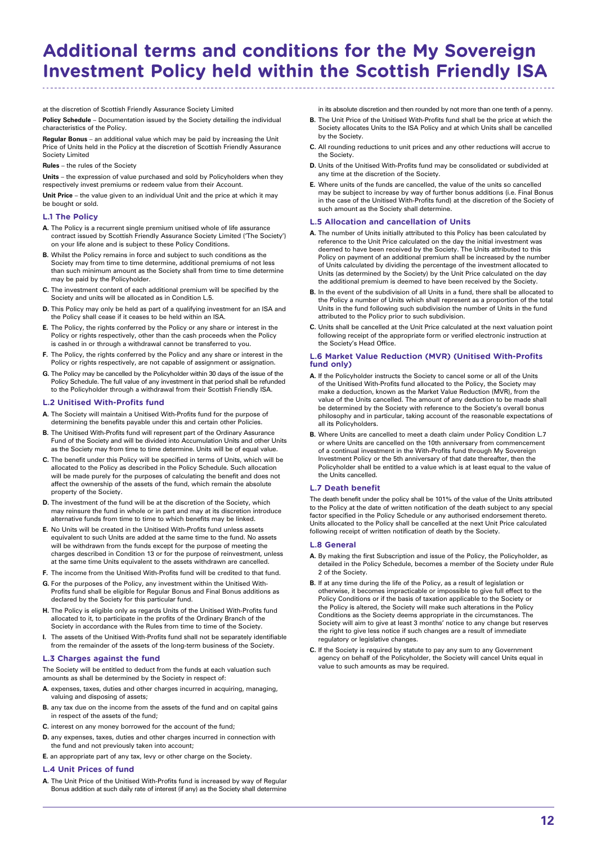## **Additional terms and conditions for the My Sovereign Investment Policy held within the Scottish Friendly ISA**

at the discretion of Scottish Friendly Assurance Society Limited

**Policy Schedule** – Documentation issued by the Society detailing the individual characteristics of the Policy.

**Regular Bonus** – an additional value which may be paid by increasing the Unit Price of Units held in the Policy at the discretion of Scottish Friendly Assurance Society Limited

#### **Rules** – the rules of the Society

**Units** – the expression of value purchased and sold by Policyholders when they respectively invest premiums or redeem value from their Account.

**Unit Price** – the value given to an individual Unit and the price at which it may be bought or sold.

#### **L.1 The Policy**

- **A.** The Policy is a recurrent single premium unitised whole of life assurance contract issued by Scottish Friendly Assurance Society Limited ('The Society') on your life alone and is subject to these Policy Conditions.
- **B.** Whilst the Policy remains in force and subject to such conditions as the Society may from time to time determine, additional premiums of not less than such minimum amount as the Society shall from time to time determine may be paid by the Policyholder.
- **C.** The investment content of each additional premium will be specified by the Society and units will be allocated as in Condition L.5.
- **D.** This Policy may only be held as part of a qualifying investment for an ISA and the Policy shall cease if it ceases to be held within an ISA.
- **E.** The Policy, the rights conferred by the Policy or any share or interest in the Policy or rights respectively, other than the cash proceeds when the Policy is cashed in or through a withdrawal cannot be transferred to you.
- **F.** The Policy, the rights conferred by the Policy and any share or interest in the Policy or rights respectively, are not capable of assignment or assignation.
- **G.** The Policy may be cancelled by the Policyholder within 30 days of the issue of the Policy Schedule. The full value of any investment in that period shall be refunded to the Policyholder through a withdrawal from their Scottish Friendly ISA.

#### **L.2 Unitised With-Profits fund**

- **A.** The Society will maintain a Unitised With-Profits fund for the purpose of determining the benefits payable under this and certain other Policies.
- **B.** The Unitised With-Profits fund will represent part of the Ordinary Assurance Fund of the Society and will be divided into Accumulation Units and other Units as the Society may from time to time determine. Units will be of equal value
- **C.** The benefit under this Policy will be specified in terms of Units, which will be allocated to the Policy as described in the Policy Schedule. Such allocation will be made purely for the purposes of calculating the benefit and does not affect the ownership of the assets of the fund, which remain the absolute property of the Society.
- **D.** The investment of the fund will be at the discretion of the Society, which may reinsure the fund in whole or in part and may at its discretion introduce alternative funds from time to time to which benefits may be linked.
- **E.** No Units will be created in the Unitised With-Profits fund unless assets equivalent to such Units are added at the same time to the fund. No assets will be withdrawn from the funds except for the purpose of meeting the charges described in Condition 13 or for the purpose of reinvestment, unless at the same time Units equivalent to the assets withdrawn are cancelled.
- **F.** The income from the Unitised With-Profits fund will be credited to that fund.
- **G.** For the purposes of the Policy, any investment within the Unitised With-Profits fund shall be eligible for Regular Bonus and Final Bonus additions as declared by the Society for this particular fund.
- **H.** The Policy is eligible only as regards Units of the Unitised With-Profits fund allocated to it, to participate in the profits of the Ordinary Branch of the Society in accordance with the Rules from time to time of the Society.
- **I.** The assets of the Unitised With-Profits fund shall not be separately identifiable from the remainder of the assets of the long-term business of the Society.

#### **L.3 Charges against the fund**

The Society will be entitled to deduct from the funds at each valuation such amounts as shall be determined by the Society in respect of:

- **A.** expenses, taxes, duties and other charges incurred in acquiring, managing, valuing and disposing of assets;
- **B.** any tax due on the income from the assets of the fund and on capital gains in respect of the assets of the fund;
- **C.** interest on any money borrowed for the account of the fund;
- **D.** any expenses, taxes, duties and other charges incurred in connection with the fund and not previously taken into account;
- **E.** an appropriate part of any tax, levy or other charge on the Society.

#### **L.4 Unit Prices of fund**

**A.** The Unit Price of the Unitised With-Profits fund is increased by way of Regular Bonus addition at such daily rate of interest (if any) as the Society shall determine in its absolute discretion and then rounded by not more than one tenth of a penny.

- **B.** The Unit Price of the Unitised With-Profits fund shall be the price at which the Society allocates Units to the ISA Policy and at which Units shall be cancelled by the Society.
- **C.** All rounding reductions to unit prices and any other reductions will accrue to the Society.
- **D.** Units of the Unitised With-Profits fund may be consolidated or subdivided at any time at the discretion of the Society.
- **E.** Where units of the funds are cancelled, the value of the units so cancelled may be subject to increase by way of further bonus additions (i.e. Final Bonus in the case of the Unitised With-Profits fund) at the discretion of the Society of such amount as the Society shall determine.

#### **L.5 Allocation and cancellation of Units**

- **A.** The number of Units initially attributed to this Policy has been calculated by reference to the Unit Price calculated on the day the initial investment was deemed to have been received by the Society. The Units attributed to this Policy on payment of an additional premium shall be increased by the number of Units calculated by dividing the percentage of the investment allocated to Units (as determined by the Society) by the Unit Price calculated on the day the additional premium is deemed to have been received by the Society.
- **B.** In the event of the subdivision of all Units in a fund, there shall be allocated to the Policy a number of Units which shall represent as a proportion of the total Units in the fund following such subdivision the number of Units in the fund attributed to the Policy prior to such subdivision.
- **C.** Units shall be cancelled at the Unit Price calculated at the next valuation point following receipt of the appropriate form or verified electronic instruction at the Society's Head Office.

#### **L.6 Market Value Reduction (MVR) (Unitised With-Profits fund only)**

- **A.** If the Policyholder instructs the Society to cancel some or all of the Units of the Unitised With-Profits fund allocated to the Policy, the Society may make a deduction, known as the Market Value Reduction (MVR), from the value of the Units cancelled. The amount of any deduction to be made shall be determined by the Society with reference to the Society's overall bonus philosophy and in particular, taking account of the reasonable expectations of all its Policyholders.
- **B.** Where Units are cancelled to meet a death claim under Policy Condition L.7 or where Units are cancelled on the 10th anniversary from commencement of a continual investment in the With-Profits fund through My Sovereign Investment Policy or the 5th anniversary of that date thereafter, then the Policyholder shall be entitled to a value which is at least equal to the value of the Units cancelled.

#### **L.7 Death benefit**

The death benefit under the policy shall be 101% of the value of the Units attributed to the Policy at the date of written notification of the death subject to any special factor specified in the Policy Schedule or any authorised endorsement thereto. Units allocated to the Policy shall be cancelled at the next Unit Price calculated following receipt of written notification of death by the Society.

#### **L.8 General**

- **A.** By making the first Subscription and issue of the Policy, the Policyholder, as detailed in the Policy Schedule, becomes a member of the Society under Rule 2 of the Society.
- **B.** If at any time during the life of the Policy, as a result of legislation or otherwise, it becomes impracticable or impossible to give full effect to the Policy Conditions or if the basis of taxation applicable to the Society or the Policy is altered, the Society will make such alterations in the Policy Conditions as the Society deems appropriate in the circumstances. The Society will aim to give at least 3 months' notice to any change but reserves the right to give less notice if such changes are a result of immediate regulatory or legislative changes.
- **C.** If the Society is required by statute to pay any sum to any Government agency on behalf of the Policyholder, the Society will cancel Units equal in value to such amounts as may be required.